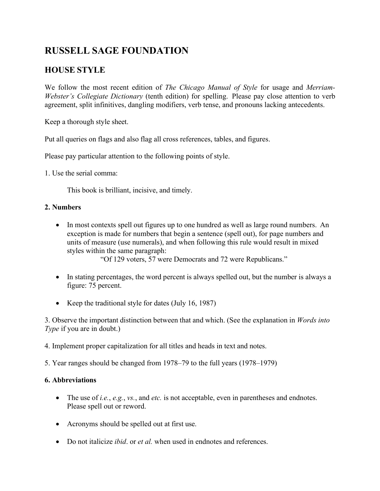# **RUSSELL SAGE FOUNDATION**

# **HOUSE STYLE**

We follow the most recent edition of *The Chicago Manual of Style* for usage and *Merriam-Webster's Collegiate Dictionary* (tenth edition) for spelling. Please pay close attention to verb agreement, split infinitives, dangling modifiers, verb tense, and pronouns lacking antecedents.

Keep a thorough style sheet.

Put all queries on flags and also flag all cross references, tables, and figures.

Please pay particular attention to the following points of style.

1. Use the serial comma:

This book is brilliant, incisive, and timely.

#### **2. Numbers**

• In most contexts spell out figures up to one hundred as well as large round numbers. An exception is made for numbers that begin a sentence (spell out), for page numbers and units of measure (use numerals), and when following this rule would result in mixed styles within the same paragraph:

"Of 129 voters, 57 were Democrats and 72 were Republicans."

- In stating percentages, the word percent is always spelled out, but the number is always a figure: 75 percent.
- Keep the traditional style for dates (July 16, 1987)

3. Observe the important distinction between that and which. (See the explanation in *Words into Type* if you are in doubt.)

4. Implement proper capitalization for all titles and heads in text and notes.

5. Year ranges should be changed from 1978–79 to the full years (1978–1979)

# **6. Abbreviations**

- The use of *i.e.*, *e.g.*, *vs.*, and *etc.* is not acceptable, even in parentheses and endnotes. Please spell out or reword.
- Acronyms should be spelled out at first use.
- Do not italicize *ibid*. or *et al.* when used in endnotes and references.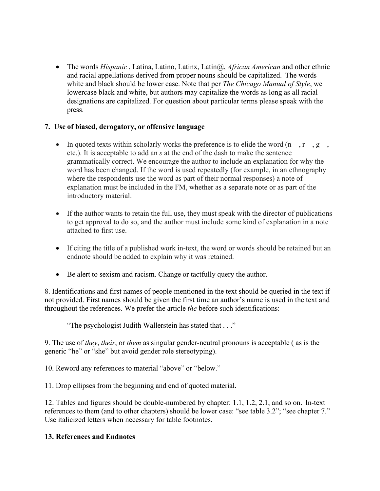• The words *Hispanic* , Latina, Latino, Latinx, Latin@, *African American* and other ethnic and racial appellations derived from proper nouns should be capitalized. The words white and black should be lower case. Note that per *The Chicago Manual of Style*, we lowercase black and white, but authors may capitalize the words as long as all racial designations are capitalized. For question about particular terms please speak with the press.

# **7. Use of biased, derogatory, or offensive language**

- In quoted texts within scholarly works the preference is to elide the word  $(n,\dots, r,\dots, g)$ etc.). It is acceptable to add an *s* at the end of the dash to make the sentence grammatically correct. We encourage the author to include an explanation for why the word has been changed. If the word is used repeatedly (for example, in an ethnography where the respondents use the word as part of their normal responses) a note of explanation must be included in the FM, whether as a separate note or as part of the introductory material.
- If the author wants to retain the full use, they must speak with the director of publications to get approval to do so, and the author must include some kind of explanation in a note attached to first use.
- If citing the title of a published work in-text, the word or words should be retained but an endnote should be added to explain why it was retained.
- Be alert to sexism and racism. Change or tactfully query the author.

8. Identifications and first names of people mentioned in the text should be queried in the text if not provided. First names should be given the first time an author's name is used in the text and throughout the references. We prefer the article *the* before such identifications:

"The psychologist Judith Wallerstein has stated that . . ."

9. The use of *they*, *their*, or *them* as singular gender-neutral pronouns is acceptable ( as is the generic "he" or "she" but avoid gender role stereotyping).

10. Reword any references to material "above" or "below."

11. Drop ellipses from the beginning and end of quoted material.

12. Tables and figures should be double-numbered by chapter: 1.1, 1.2, 2.1, and so on. In-text references to them (and to other chapters) should be lower case: "see table 3.2"; "see chapter 7." Use italicized letters when necessary for table footnotes.

# **13. References and Endnotes**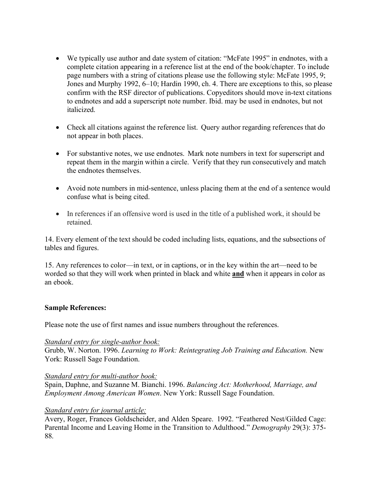- We typically use author and date system of citation: "McFate 1995" in endnotes, with a complete citation appearing in a reference list at the end of the book/chapter. To include page numbers with a string of citations please use the following style: McFate 1995, 9; Jones and Murphy 1992, 6–10; Hardin 1990, ch. 4. There are exceptions to this, so please confirm with the RSF director of publications. Copyeditors should move in-text citations to endnotes and add a superscript note number. Ibid. may be used in endnotes, but not italicized.
- Check all citations against the reference list. Query author regarding references that do not appear in both places.
- For substantive notes, we use endnotes. Mark note numbers in text for superscript and repeat them in the margin within a circle. Verify that they run consecutively and match the endnotes themselves.
- Avoid note numbers in mid-sentence, unless placing them at the end of a sentence would confuse what is being cited.
- In references if an offensive word is used in the title of a published work, it should be retained.

14. Every element of the text should be coded including lists, equations, and the subsections of tables and figures.

15. Any references to color—in text, or in captions, or in the key within the art—need to be worded so that they will work when printed in black and white **and** when it appears in color as an ebook.

#### **Sample References:**

Please note the use of first names and issue numbers throughout the references.

#### *Standard entry for single-author book:*

Grubb, W. Norton. 1996. *Learning to Work: Reintegrating Job Training and Education.* New York: Russell Sage Foundation.

#### *Standard entry for multi-author book:*

Spain, Daphne, and Suzanne M. Bianchi. 1996. *Balancing Act: Motherhood, Marriage, and Employment Among American Women*. New York: Russell Sage Foundation.

#### *Standard entry for journal article:*

Avery, Roger, Frances Goldscheider, and Alden Speare. 1992. "Feathered Nest/Gilded Cage: Parental Income and Leaving Home in the Transition to Adulthood." *Demography* 29(3): 375- 88.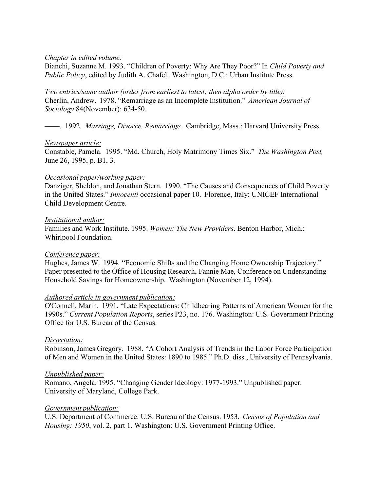#### *Chapter in edited volume:*

Bianchi, Suzanne M. 1993. "Children of Poverty: Why Are They Poor?" In *Child Poverty and Public Policy*, edited by Judith A. Chafel. Washington, D.C.: Urban Institute Press.

#### *Two entries/same author (order from earliest to latest; then alpha order by title):* Cherlin, Andrew. 1978. "Remarriage as an Incomplete Institution." *American Journal of Sociology* 84(November): 634-50.

——. 1992. *Marriage, Divorce, Remarriage.* Cambridge, Mass.: Harvard University Press.

#### *Newspaper article:*

Constable, Pamela. 1995. "Md. Church, Holy Matrimony Times Six." *The Washington Post,* June 26, 1995, p. B1, 3.

# *Occasional paper/working paper:*

Danziger, Sheldon, and Jonathan Stern. 1990. "The Causes and Consequences of Child Poverty in the United States." *Innocenti* occasional paper 10. Florence, Italy: UNICEF International Child Development Centre.

#### *Institutional author:*

Families and Work Institute. 1995. *Women: The New Providers*. Benton Harbor, Mich.: Whirlpool Foundation.

# *Conference paper:*

Hughes, James W. 1994. "Economic Shifts and the Changing Home Ownership Trajectory." Paper presented to the Office of Housing Research, Fannie Mae, Conference on Understanding Household Savings for Homeownership. Washington (November 12, 1994).

# *Authored article in government publication:*

O'Connell, Marin. 1991. "Late Expectations: Childbearing Patterns of American Women for the 1990s." *Current Population Reports*, series P23, no. 176. Washington: U.S. Government Printing Office for U.S. Bureau of the Census.

# *Dissertation:*

Robinson, James Gregory. 1988. "A Cohort Analysis of Trends in the Labor Force Participation of Men and Women in the United States: 1890 to 1985." Ph.D. diss., University of Pennsylvania.

# *Unpublished paper:*

Romano, Angela. 1995. "Changing Gender Ideology: 1977-1993." Unpublished paper. University of Maryland, College Park.

#### *Government publication:*

U.S. Department of Commerce. U.S. Bureau of the Census. 1953. *Census of Population and Housing: 1950*, vol. 2, part 1. Washington: U.S. Government Printing Office.